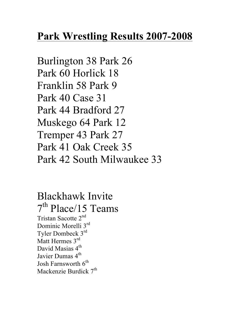## **Park Wrestling Results 2007-2008**

Burlington 38 Park 26 Park 60 Horlick 18 Franklin 58 Park 9 Park 40 Case 31 Park 44 Bradford 27 Muskego 64 Park 12 Tremper 43 Park 27 Park 41 Oak Creek 35 Park 42 South Milwaukee 33

Blackhawk Invite 7<sup>th</sup> Place/15 Teams Tristan Sacotte 2nd Dominic Morelli 3<sup>rd</sup> Tyler Dombeck 3rd Matt Hermes 3<sup>rd</sup> David Masias 4<sup>th</sup> Javier Dumas 4<sup>th</sup> Josh Farnsworth  $6<sup>th</sup>$ Mackenzie Burdick  $7<sup>th</sup>$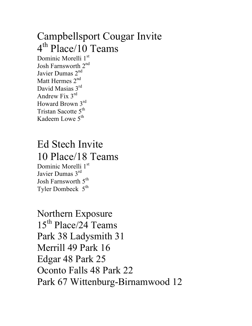#### Campbellsport Cougar Invite 4<sup>th</sup> Place/10 Teams Dominic Morelli 1st Josh Farnsworth 2<sup>nd</sup> Javier Dumas 2<sup>nd</sup> Matt Hermes 2<sup>nd</sup> David Masias 3rd Andrew Fix 3rd Howard Brown 3rd Tristan Sacotte 5<sup>th</sup> Kadeem Lowe 5<sup>th</sup>

# Ed Stech Invite 10 Place/18 Teams

Dominic Morelli 1<sup>st</sup> Javier Dumas 3rd Josh Farnsworth 5<sup>th</sup> Tyler Dombeck  $5<sup>th</sup>$ 

Northern Exposure 15<sup>th</sup> Place/24 Teams Park 38 Ladysmith 31 Merrill 49 Park 16 Edgar 48 Park 25 Oconto Falls 48 Park 22 Park 67 Wittenburg-Birnamwood 12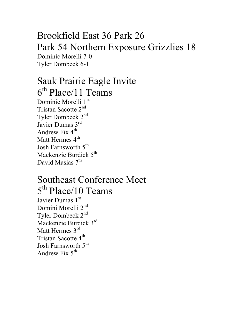#### Brookfield East 36 Park 26 Park 54 Northern Exposure Grizzlies 18 Dominic Morelli 7-0 Tyler Dombeck 6-1

### Sauk Prairie Eagle Invite  $6<sup>th</sup>$  Place/11 Teams Dominic Morelli 1st Tristan Sacotte 2nd Tyler Dombeck 2nd

Javier Dumas 3rd Andrew Fix  $4^{\text{th}}$ Matt Hermes 4<sup>th</sup> Josh Farnsworth 5<sup>th</sup> Mackenzie Burdick  $5<sup>th</sup>$ David Masias 7<sup>th</sup>

## Southeast Conference Meet 5<sup>th</sup> Place/10 Teams

Javier Dumas 1st Domini Morelli 2<sup>nd</sup> Tyler Dombeck 2nd Mackenzie Burdick 3rd Matt Hermes 3<sup>rd</sup> Tristan Sacotte 4<sup>th</sup> Josh Farnsworth 5<sup>th</sup> Andrew Fix  $5^{th}$